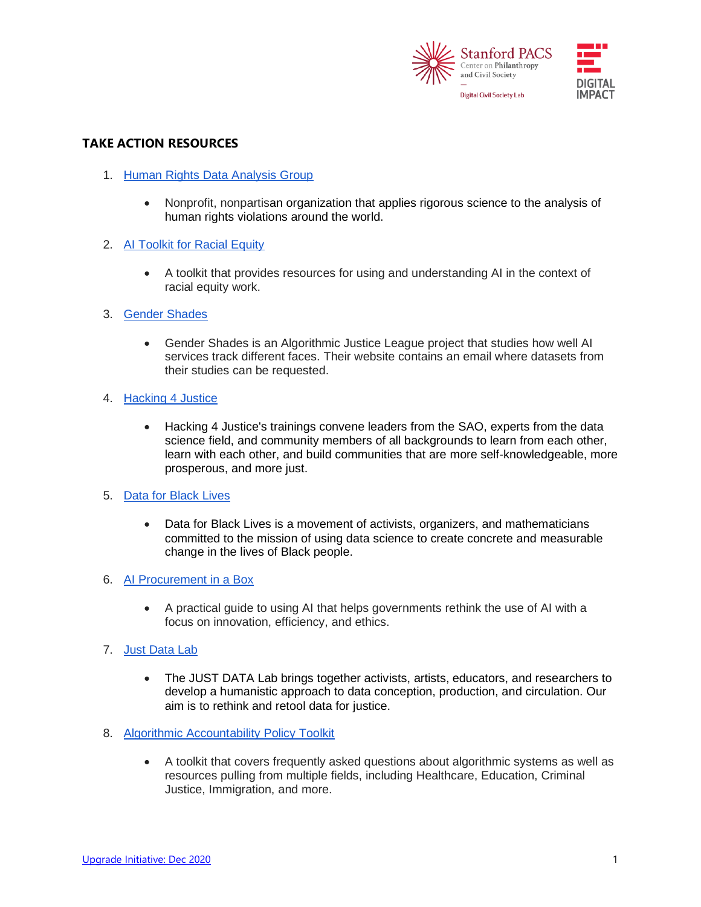

# **TAKE ACTION RESOURCES**

- 1. [Human Rights Data Analysis Group](https://hrdag.org/)
	- Nonprofit, nonpartisan organization that applies rigorous science to the analysis of human rights violations around the world.
- 2. [AI Toolkit for Racial Equity](https://coda.io/@edtechequity/edtech-ai-toolkit-for-racial-equity)
	- A toolkit that provides resources for using and understanding AI in the context of racial equity work.
- 3. [Gender Shades](http://gendershades.org/)
	- Gender Shades is an Algorithmic Justice League project that studies how well AI services track different faces. Their website contains an email where datasets from their studies can be requested.
- 4. [Hacking 4 Justice](https://hacking4justice.org/)
	- Hacking 4 Justice's trainings convene leaders from the SAO, experts from the data science field, and community members of all backgrounds to learn from each other, learn with each other, and build communities that are more self-knowledgeable, more prosperous, and more just.
- 5. [Data for Black Lives](https://d4bl.org/)
	- Data for Black Lives is a movement of activists, organizers, and mathematicians committed to the mission of using data science to create concrete and measurable change in the lives of Black people.
- 6. [AI Procurement in a Box](http://www3.weforum.org/docs/WEF_AI_Procurement_in_a_Box_Project_Overview_2020.pdf)
	- A practical guide to using AI that helps governments rethink the use of AI with a focus on innovation, efficiency, and ethics.
- 7. [Just Data Lab](https://www.thejustdatalab.com/)
	- The JUST DATA Lab brings together activists, artists, educators, and researchers to develop a humanistic approach to data conception, production, and circulation. Our aim is to rethink and retool data for justice.
- 8. [Algorithmic Accountability Policy Toolkit](https://ainowinstitute.org/aap-toolkit.pdf)
	- A toolkit that covers frequently asked questions about algorithmic systems as well as resources pulling from multiple fields, including Healthcare, Education, Criminal Justice, Immigration, and more.